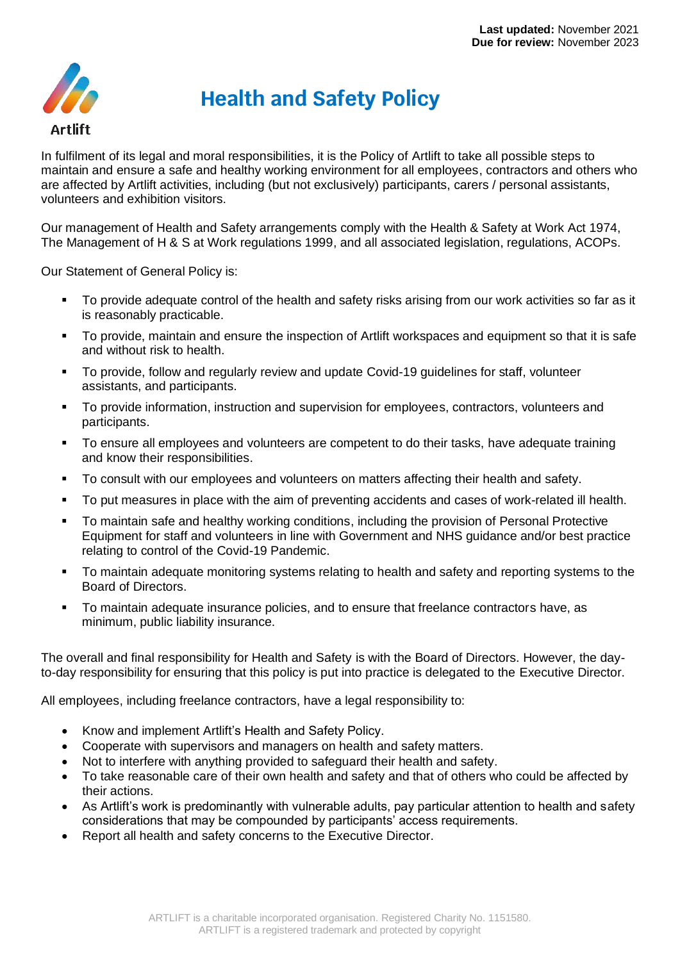

## **Health and Safety Policy**

In fulfilment of its legal and moral responsibilities, it is the Policy of Artlift to take all possible steps to maintain and ensure a safe and healthy working environment for all employees, contractors and others who are affected by Artlift activities, including (but not exclusively) participants, carers / personal assistants, volunteers and exhibition visitors.

Our management of Health and Safety arrangements comply with the Health & Safety at Work Act 1974, The Management of H & S at Work regulations 1999, and all associated legislation, regulations, ACOPs.

Our Statement of General Policy is:

- To provide adequate control of the health and safety risks arising from our work activities so far as it is reasonably practicable.
- To provide, maintain and ensure the inspection of Artlift workspaces and equipment so that it is safe and without risk to health.
- To provide, follow and regularly review and update Covid-19 guidelines for staff, volunteer assistants, and participants.
- To provide information, instruction and supervision for employees, contractors, volunteers and participants.
- To ensure all employees and volunteers are competent to do their tasks, have adequate training and know their responsibilities.
- To consult with our employees and volunteers on matters affecting their health and safety.
- To put measures in place with the aim of preventing accidents and cases of work-related ill health.
- To maintain safe and healthy working conditions, including the provision of Personal Protective Equipment for staff and volunteers in line with Government and NHS guidance and/or best practice relating to control of the Covid-19 Pandemic.
- To maintain adequate monitoring systems relating to health and safety and reporting systems to the Board of Directors.
- To maintain adequate insurance policies, and to ensure that freelance contractors have, as minimum, public liability insurance.

The overall and final responsibility for Health and Safety is with the Board of Directors. However, the dayto-day responsibility for ensuring that this policy is put into practice is delegated to the Executive Director.

All employees, including freelance contractors, have a legal responsibility to:

- Know and implement Artlift's Health and Safety Policy.
- Cooperate with supervisors and managers on health and safety matters.
- Not to interfere with anything provided to safeguard their health and safety.
- To take reasonable care of their own health and safety and that of others who could be affected by their actions.
- As Artlift's work is predominantly with vulnerable adults, pay particular attention to health and safety considerations that may be compounded by participants' access requirements.
- Report all health and safety concerns to the Executive Director.